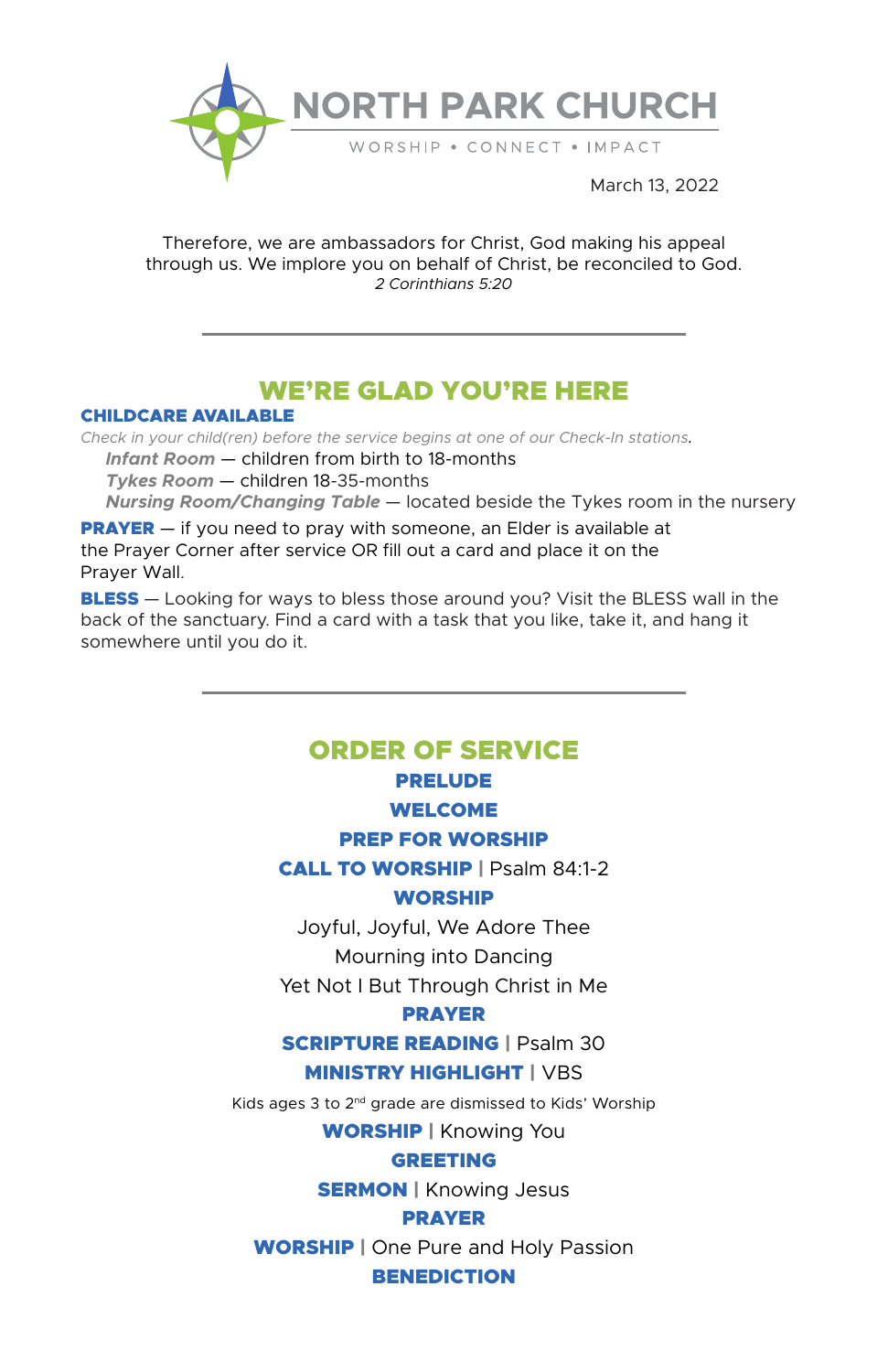

Therefore, we are ambassadors for Christ, God making his appeal through us. We implore you on behalf of Christ, be reconciled to God. *2 Corinthians 5:20*

# WE'RE GLAD YOU'RE HERE

#### CHILDCARE AVAILABLE

*Check in your child(ren) before the service begins at one of our Check-In stations. Infant Room* — children from birth to 18-months  *Tykes Room* — children 18-35-months  *Nursing Room/Changing Table* — located beside the Tykes room in the nursery

**PRAYER** — if you need to pray with someone, an Elder is available at the Prayer Corner after service OR fill out a card and place it on the Prayer Wall.

**BLESS** — Looking for ways to bless those around you? Visit the BLESS wall in the back of the sanctuary. Find a card with a task that you like, take it, and hang it somewhere until you do it.

## ORDER OF SERVICE PRELUDE

## WELCOME

PREP FOR WORSHIP

CALL TO WORSHIP | Psalm 84:1-2 WORSHIP

Joyful, Joyful, We Adore Thee

Mourning into Dancing

Yet Not I But Through Christ in Me

## PRAYER

## SCRIPTURE READING | Psalm 30 **MINISTRY HIGHLIGHT | VBS**

Kids ages 3 to 2nd grade are dismissed to Kids' Worship

WORSHIP | Knowing You

## GREETING

**SERMON** | Knowing Jesus

## PRAYER

**WORSHIP** | One Pure and Holy Passion

## **BENEDICTION**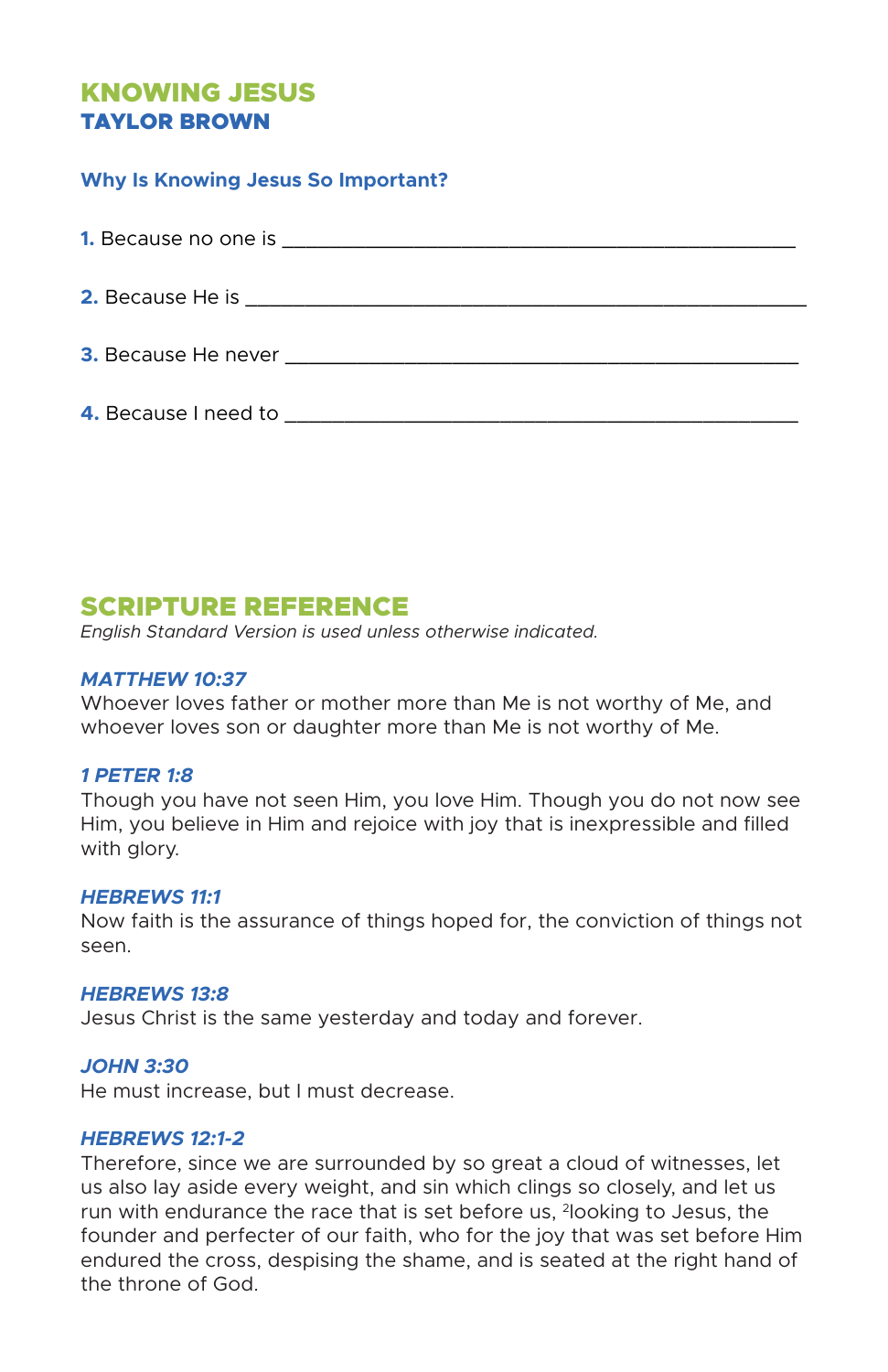## KNOWING JESUS TAYLOR BROWN

## **Why Is Knowing Jesus So Important?**

| <b>2.</b> Because He is <b>Exercise 2. Because He is</b>                                                                                                                                                                             |
|--------------------------------------------------------------------------------------------------------------------------------------------------------------------------------------------------------------------------------------|
| 3. Because He never <b>Example 2. Second Second Second Second Second Second Second Second Second Second Second Second Second Second Second Second Second Second Second Second Second Second Second Second Second Second Second S</b> |
| 4. Because I need to example a series of the series of the series of the series of the series of the series of the series of the series of the series of the series of the series of the series of the series of the series of       |

## SCRIPTURE REFERENCE

*English Standard Version is used unless otherwise indicated.*

## *MATTHEW 10:37*

Whoever loves father or mother more than Me is not worthy of Me, and whoever loves son or daughter more than Me is not worthy of Me.

## *1 PETER 1:8*

Though you have not seen Him, you love Him. Though you do not now see Him, you believe in Him and rejoice with joy that is inexpressible and filled with glory.

## *HEBREWS 11:1*

Now faith is the assurance of things hoped for, the conviction of things not seen.

## *HEBREWS 13:8*

Jesus Christ is the same yesterday and today and forever.

## *JOHN 3:30*

He must increase, but I must decrease.

## *HEBREWS 12:1-2*

Therefore, since we are surrounded by so great a cloud of witnesses, let us also lay aside every weight, and sin which clings so closely, and let us run with endurance the race that is set before us, 2looking to Jesus, the founder and perfecter of our faith, who for the joy that was set before Him endured the cross, despising the shame, and is seated at the right hand of the throne of God.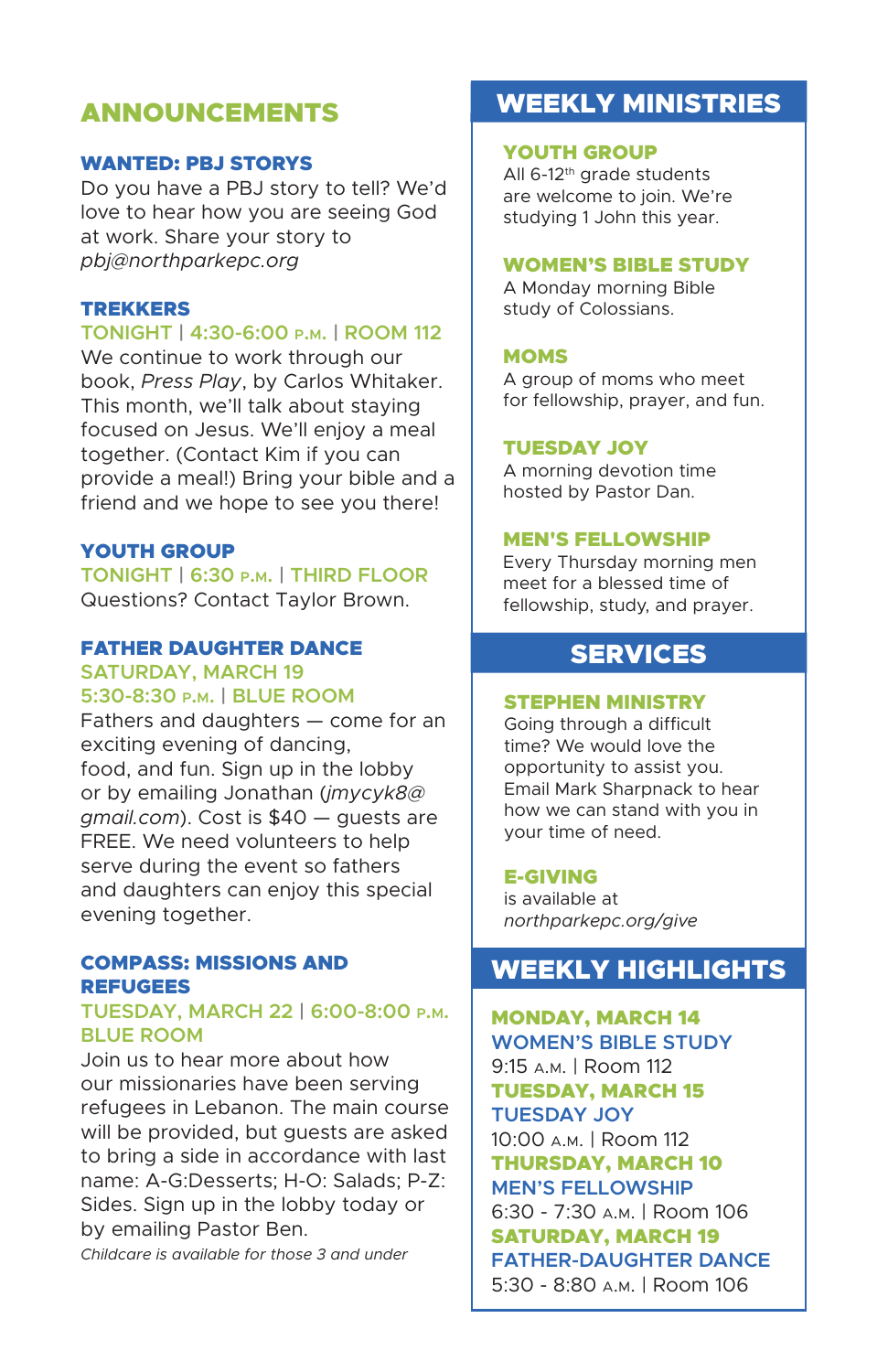## ANNOUNCEMENTS

## WANTED: PBJ STORYS

Do you have a PBJ story to tell? We'd love to hear how you are seeing God at work. Share your story to *pbj@northparkepc.org*

## TREKKERS

#### **TONIGHT | 4:30-6:00 p.m. | ROOM 112**

We continue to work through our book, *Press Play*, by Carlos Whitaker. This month, we'll talk about staying focused on Jesus. We'll enjoy a meal together. (Contact Kim if you can provide a meal!) Bring your bible and a friend and we hope to see you there!

## YOUTH GROUP

**TONIGHT | 6:30 p.m. | THIRD FLOOR** Questions? Contact Taylor Brown.

## FATHER DAUGHTER DANCE

#### **SATURDAY, MARCH 19 5:30-8:30 p.m. | BLUE ROOM**

Fathers and daughters — come for an exciting evening of dancing, food, and fun. Sign up in the lobby or by emailing Jonathan (*jmycyk8@ gmail.com*). Cost is \$40 — guests are FREE. We need volunteers to help serve during the event so fathers and daughters can enjoy this special evening together.

#### COMPASS: MISSIONS AND REFUGEES

## **TUESDAY, MARCH 22 | 6:00-8:00 p.m. BLUE ROOM**

Join us to hear more about how our missionaries have been serving refugees in Lebanon. The main course will be provided, but guests are asked to bring a side in accordance with last name: A-G:Desserts; H-O: Salads; P-Z: Sides. Sign up in the lobby today or by emailing Pastor Ben.

*Childcare is available for those 3 and under*

# WEEKLY MINISTRIES

### YOUTH GROUP

All 6-12<sup>th</sup> grade students are welcome to join. We're studying 1 John this year.

#### WOMEN'S BIBLE STUDY

A Monday morning Bible study of Colossians.

#### **MOMS**

A group of moms who meet for fellowship, prayer, and fun.

#### TUESDAY JOY

A morning devotion time hosted by Pastor Dan.

#### MEN'S FELLOWSHIP

Every Thursday morning men meet for a blessed time of fellowship, study, and prayer.

## SERVICES

#### STEPHEN MINISTRY

Going through a difficult time? We would love the opportunity to assist you. Email Mark Sharpnack to hear how we can stand with you in your time of need.

#### E-GIVING

is available at *northparkepc.org/give*

# WEEKLY HIGHLIGHTS

MONDAY, MARCH 14 **WOMEN'S BIBLE STUDY** 9:15 a.m. | Room 112 TUESDAY, MARCH 15 **TUESDAY JOY** 10:00 a.m. | Room 112 THURSDAY, MARCH 10 **MEN'S FELLOWSHIP** 6:30 - 7:30 a.m. | Room 106 SATURDAY, MARCH 19 **FATHER-DAUGHTER DANCE** 5:30 - 8:80 a.m. | Room 106